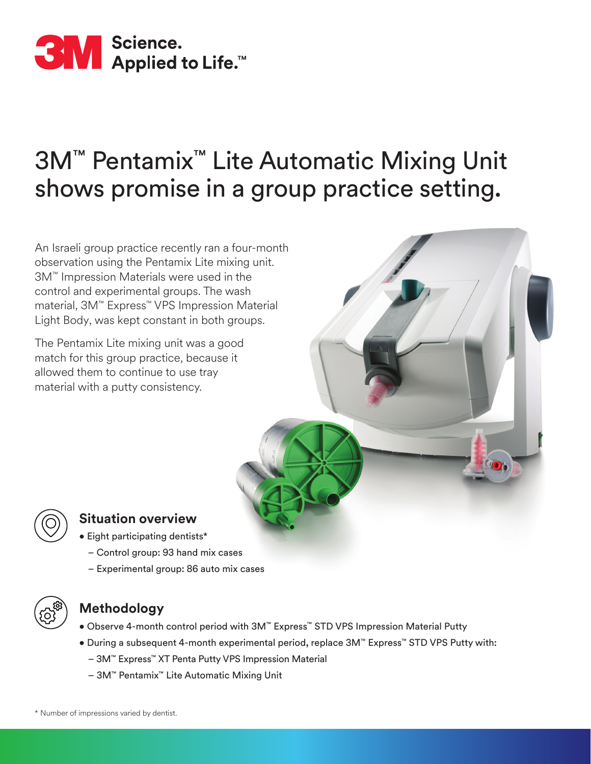

# 3M™ Pentamix™ Lite Automatic Mixing Unit shows promise in a group practice setting.

An Israeli group practice recently ran a four-month observation using the Pentamix Lite mixing unit. 3M™ Impression Materials were used in the control and experimental groups. The wash material, 3M™ Express™ VPS Impression Material Light Body, was kept constant in both groups.

The Pentamix Lite mixing unit was a good match for this group practice, because it allowed them to continue to use tray material with a putty consistency.



## **Situation overview**

- Eight participating dentists\*
	- Control group: 93 hand mix cases
	- Experimental group: 86 auto mix cases



# **Methodology**

- Observe 4-month control period with 3M™ Express™ STD VPS Impression Material Putty
- During a subsequent 4-month experimental period, replace 3M™ Express™ STD VPS Putty with:
	- 3M™ Express™ XT Penta Putty VPS Impression Material
	- 3M™ Pentamix™ Lite Automatic Mixing Unit

\* Number of impressions varied by dentist.